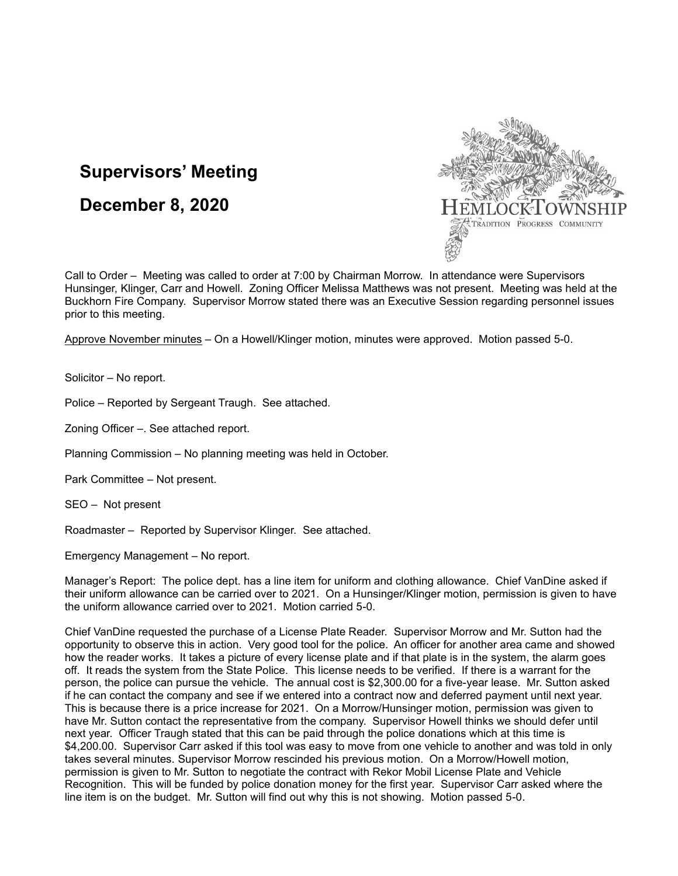# **Supervisors' Meeting**

## **December 8, 2020**



Call to Order – Meeting was called to order at 7:00 by Chairman Morrow. In attendance were Supervisors Hunsinger, Klinger, Carr and Howell. Zoning Officer Melissa Matthews was not present. Meeting was held at the Buckhorn Fire Company. Supervisor Morrow stated there was an Executive Session regarding personnel issues prior to this meeting.

Approve November minutes – On a Howell/Klinger motion, minutes were approved. Motion passed 5-0.

Solicitor – No report.

Police – Reported by Sergeant Traugh. See attached.

Zoning Officer –. See attached report.

Planning Commission – No planning meeting was held in October.

Park Committee – Not present.

SEO – Not present

Roadmaster – Reported by Supervisor Klinger. See attached.

Emergency Management – No report.

Manager's Report: The police dept. has a line item for uniform and clothing allowance. Chief VanDine asked if their uniform allowance can be carried over to 2021. On a Hunsinger/Klinger motion, permission is given to have the uniform allowance carried over to 2021. Motion carried 5-0.

Chief VanDine requested the purchase of a License Plate Reader. Supervisor Morrow and Mr. Sutton had the opportunity to observe this in action. Very good tool for the police. An officer for another area came and showed how the reader works. It takes a picture of every license plate and if that plate is in the system, the alarm goes off. It reads the system from the State Police. This license needs to be verified. If there is a warrant for the person, the police can pursue the vehicle. The annual cost is \$2,300.00 for a five-year lease. Mr. Sutton asked if he can contact the company and see if we entered into a contract now and deferred payment until next year. This is because there is a price increase for 2021. On a Morrow/Hunsinger motion, permission was given to have Mr. Sutton contact the representative from the company. Supervisor Howell thinks we should defer until next year. Officer Traugh stated that this can be paid through the police donations which at this time is \$4,200.00. Supervisor Carr asked if this tool was easy to move from one vehicle to another and was told in only takes several minutes. Supervisor Morrow rescinded his previous motion. On a Morrow/Howell motion, permission is given to Mr. Sutton to negotiate the contract with Rekor Mobil License Plate and Vehicle Recognition. This will be funded by police donation money for the first year. Supervisor Carr asked where the line item is on the budget. Mr. Sutton will find out why this is not showing. Motion passed 5-0.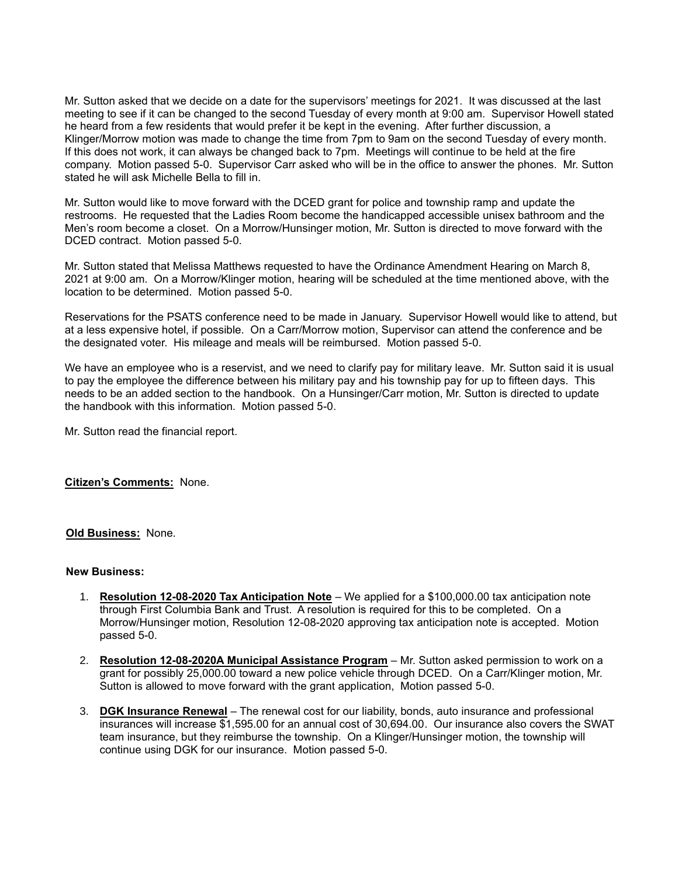Mr. Sutton asked that we decide on a date for the supervisors' meetings for 2021. It was discussed at the last meeting to see if it can be changed to the second Tuesday of every month at 9:00 am. Supervisor Howell stated he heard from a few residents that would prefer it be kept in the evening. After further discussion, a Klinger/Morrow motion was made to change the time from 7pm to 9am on the second Tuesday of every month. If this does not work, it can always be changed back to 7pm. Meetings will continue to be held at the fire company. Motion passed 5-0. Supervisor Carr asked who will be in the office to answer the phones. Mr. Sutton stated he will ask Michelle Bella to fill in.

Mr. Sutton would like to move forward with the DCED grant for police and township ramp and update the restrooms. He requested that the Ladies Room become the handicapped accessible unisex bathroom and the Men's room become a closet. On a Morrow/Hunsinger motion, Mr. Sutton is directed to move forward with the DCED contract. Motion passed 5-0.

Mr. Sutton stated that Melissa Matthews requested to have the Ordinance Amendment Hearing on March 8, 2021 at 9:00 am. On a Morrow/Klinger motion, hearing will be scheduled at the time mentioned above, with the location to be determined. Motion passed 5-0.

Reservations for the PSATS conference need to be made in January. Supervisor Howell would like to attend, but at a less expensive hotel, if possible. On a Carr/Morrow motion, Supervisor can attend the conference and be the designated voter. His mileage and meals will be reimbursed. Motion passed 5-0.

We have an employee who is a reservist, and we need to clarify pay for military leave. Mr. Sutton said it is usual to pay the employee the difference between his military pay and his township pay for up to fifteen days. This needs to be an added section to the handbook. On a Hunsinger/Carr motion, Mr. Sutton is directed to update the handbook with this information. Motion passed 5-0.

Mr. Sutton read the financial report.

**Citizen's Comments:** None.

#### **Old Business:** None.

#### **New Business:**

- 1. **Resolution 12-08-2020 Tax Anticipation Note** We applied for a \$100,000.00 tax anticipation note through First Columbia Bank and Trust. A resolution is required for this to be completed. On a Morrow/Hunsinger motion, Resolution 12-08-2020 approving tax anticipation note is accepted. Motion passed 5-0.
- 2. **Resolution 12-08-2020A Municipal Assistance Program** Mr. Sutton asked permission to work on a grant for possibly 25,000.00 toward a new police vehicle through DCED. On a Carr/Klinger motion, Mr. Sutton is allowed to move forward with the grant application, Motion passed 5-0.
- 3. **DGK Insurance Renewal** The renewal cost for our liability, bonds, auto insurance and professional insurances will increase \$1,595.00 for an annual cost of 30,694.00. Our insurance also covers the SWAT team insurance, but they reimburse the township. On a Klinger/Hunsinger motion, the township will continue using DGK for our insurance. Motion passed 5-0.